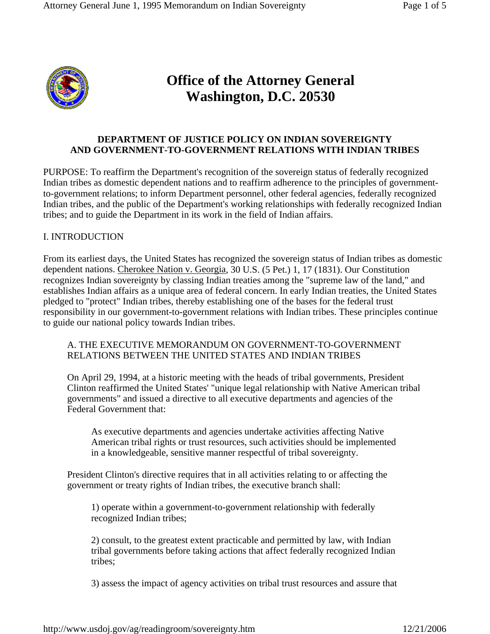

# **Office of the Attorney General Washington, D.C. 20530**

# **DEPARTMENT OF JUSTICE POLICY ON INDIAN SOVEREIGNTY AND GOVERNMENT-TO-GOVERNMENT RELATIONS WITH INDIAN TRIBES**

PURPOSE: To reaffirm the Department's recognition of the sovereign status of federally recognized Indian tribes as domestic dependent nations and to reaffirm adherence to the principles of governmentto-government relations; to inform Department personnel, other federal agencies, federally recognized Indian tribes, and the public of the Department's working relationships with federally recognized Indian tribes; and to guide the Department in its work in the field of Indian affairs.

# I. INTRODUCTION

From its earliest days, the United States has recognized the sovereign status of Indian tribes as domestic dependent nations. Cherokee Nation v. Georgia, 30 U.S. (5 Pet.) 1, 17 (1831). Our Constitution recognizes Indian sovereignty by classing Indian treaties among the "supreme law of the land," and establishes Indian affairs as a unique area of federal concern. In early Indian treaties, the United States pledged to "protect" Indian tribes, thereby establishing one of the bases for the federal trust responsibility in our government-to-government relations with Indian tribes. These principles continue to guide our national policy towards Indian tribes.

# A. THE EXECUTIVE MEMORANDUM ON GOVERNMENT-TO-GOVERNMENT RELATIONS BETWEEN THE UNITED STATES AND INDIAN TRIBES

On April 29, 1994, at a historic meeting with the heads of tribal governments, President Clinton reaffirmed the United States' "unique legal relationship with Native American tribal governments" and issued a directive to all executive departments and agencies of the Federal Government that:

As executive departments and agencies undertake activities affecting Native American tribal rights or trust resources, such activities should be implemented in a knowledgeable, sensitive manner respectful of tribal sovereignty.

President Clinton's directive requires that in all activities relating to or affecting the government or treaty rights of Indian tribes, the executive branch shall:

1) operate within a government-to-government relationship with federally recognized Indian tribes;

2) consult, to the greatest extent practicable and permitted by law, with Indian tribal governments before taking actions that affect federally recognized Indian tribes;

3) assess the impact of agency activities on tribal trust resources and assure that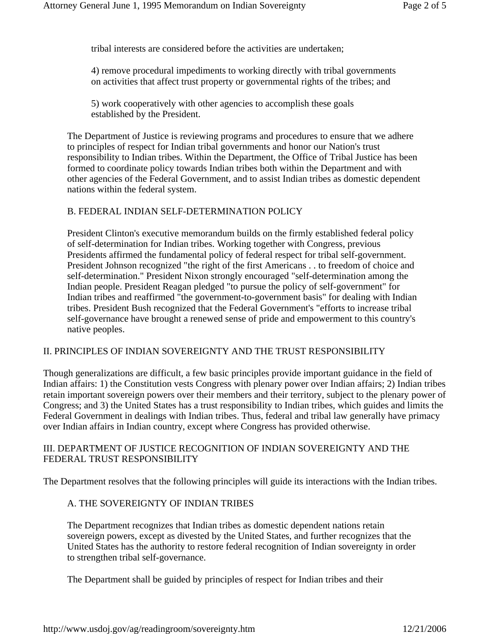tribal interests are considered before the activities are undertaken;

4) remove procedural impediments to working directly with tribal governments on activities that affect trust property or governmental rights of the tribes; and

5) work cooperatively with other agencies to accomplish these goals established by the President.

The Department of Justice is reviewing programs and procedures to ensure that we adhere to principles of respect for Indian tribal governments and honor our Nation's trust responsibility to Indian tribes. Within the Department, the Office of Tribal Justice has been formed to coordinate policy towards Indian tribes both within the Department and with other agencies of the Federal Government, and to assist Indian tribes as domestic dependent nations within the federal system.

# B. FEDERAL INDIAN SELF-DETERMINATION POLICY

President Clinton's executive memorandum builds on the firmly established federal policy of self-determination for Indian tribes. Working together with Congress, previous Presidents affirmed the fundamental policy of federal respect for tribal self-government. President Johnson recognized "the right of the first Americans . . to freedom of choice and self-determination." President Nixon strongly encouraged "self-determination among the Indian people. President Reagan pledged "to pursue the policy of self-government" for Indian tribes and reaffirmed "the government-to-government basis" for dealing with Indian tribes. President Bush recognized that the Federal Government's "efforts to increase tribal self-governance have brought a renewed sense of pride and empowerment to this country's native peoples.

# II. PRINCIPLES OF INDIAN SOVEREIGNTY AND THE TRUST RESPONSIBILITY

Though generalizations are difficult, a few basic principles provide important guidance in the field of Indian affairs: 1) the Constitution vests Congress with plenary power over Indian affairs; 2) Indian tribes retain important sovereign powers over their members and their territory, subject to the plenary power of Congress; and 3) the United States has a trust responsibility to Indian tribes, which guides and limits the Federal Government in dealings with Indian tribes. Thus, federal and tribal law generally have primacy over Indian affairs in Indian country, except where Congress has provided otherwise.

# III. DEPARTMENT OF JUSTICE RECOGNITION OF INDIAN SOVEREIGNTY AND THE FEDERAL TRUST RESPONSIBILITY

The Department resolves that the following principles will guide its interactions with the Indian tribes.

# A. THE SOVEREIGNTY OF INDIAN TRIBES

The Department recognizes that Indian tribes as domestic dependent nations retain sovereign powers, except as divested by the United States, and further recognizes that the United States has the authority to restore federal recognition of Indian sovereignty in order to strengthen tribal self-governance.

The Department shall be guided by principles of respect for Indian tribes and their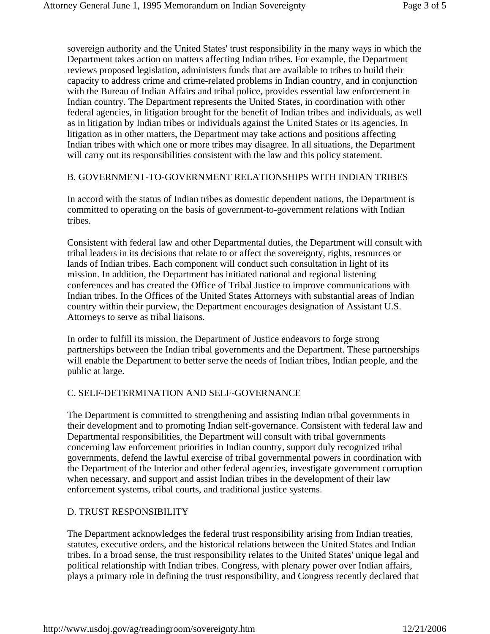sovereign authority and the United States' trust responsibility in the many ways in which the Department takes action on matters affecting Indian tribes. For example, the Department reviews proposed legislation, administers funds that are available to tribes to build their capacity to address crime and crime-related problems in Indian country, and in conjunction with the Bureau of Indian Affairs and tribal police, provides essential law enforcement in Indian country. The Department represents the United States, in coordination with other federal agencies, in litigation brought for the benefit of Indian tribes and individuals, as well as in litigation by Indian tribes or individuals against the United States or its agencies. In litigation as in other matters, the Department may take actions and positions affecting Indian tribes with which one or more tribes may disagree. In all situations, the Department will carry out its responsibilities consistent with the law and this policy statement.

# B. GOVERNMENT-TO-GOVERNMENT RELATIONSHIPS WITH INDIAN TRIBES

In accord with the status of Indian tribes as domestic dependent nations, the Department is committed to operating on the basis of government-to-government relations with Indian tribes.

Consistent with federal law and other Departmental duties, the Department will consult with tribal leaders in its decisions that relate to or affect the sovereignty, rights, resources or lands of Indian tribes. Each component will conduct such consultation in light of its mission. In addition, the Department has initiated national and regional listening conferences and has created the Office of Tribal Justice to improve communications with Indian tribes. In the Offices of the United States Attorneys with substantial areas of Indian country within their purview, the Department encourages designation of Assistant U.S. Attorneys to serve as tribal liaisons.

In order to fulfill its mission, the Department of Justice endeavors to forge strong partnerships between the Indian tribal governments and the Department. These partnerships will enable the Department to better serve the needs of Indian tribes, Indian people, and the public at large.

# C. SELF-DETERMINATION AND SELF-GOVERNANCE

The Department is committed to strengthening and assisting Indian tribal governments in their development and to promoting Indian self-governance. Consistent with federal law and Departmental responsibilities, the Department will consult with tribal governments concerning law enforcement priorities in Indian country, support duly recognized tribal governments, defend the lawful exercise of tribal governmental powers in coordination with the Department of the Interior and other federal agencies, investigate government corruption when necessary, and support and assist Indian tribes in the development of their law enforcement systems, tribal courts, and traditional justice systems.

# D. TRUST RESPONSIBILITY

The Department acknowledges the federal trust responsibility arising from Indian treaties, statutes, executive orders, and the historical relations between the United States and Indian tribes. In a broad sense, the trust responsibility relates to the United States' unique legal and political relationship with Indian tribes. Congress, with plenary power over Indian affairs, plays a primary role in defining the trust responsibility, and Congress recently declared that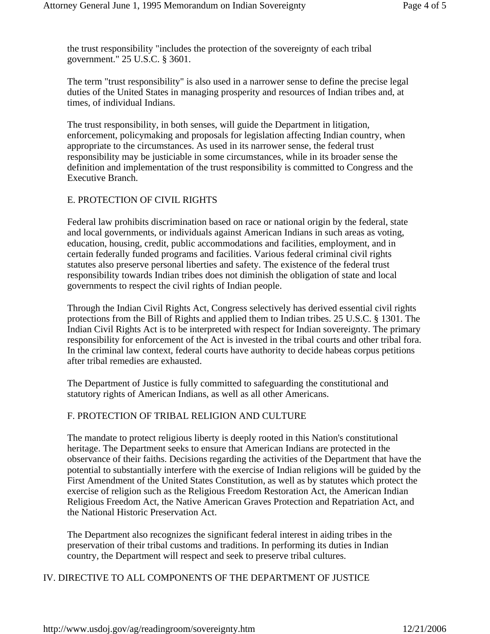the trust responsibility "includes the protection of the sovereignty of each tribal government." 25 U.S.C. § 3601.

The term "trust responsibility" is also used in a narrower sense to define the precise legal duties of the United States in managing prosperity and resources of Indian tribes and, at times, of individual Indians.

The trust responsibility, in both senses, will guide the Department in litigation, enforcement, policymaking and proposals for legislation affecting Indian country, when appropriate to the circumstances. As used in its narrower sense, the federal trust responsibility may be justiciable in some circumstances, while in its broader sense the definition and implementation of the trust responsibility is committed to Congress and the Executive Branch.

#### E. PROTECTION OF CIVIL RIGHTS

Federal law prohibits discrimination based on race or national origin by the federal, state and local governments, or individuals against American Indians in such areas as voting, education, housing, credit, public accommodations and facilities, employment, and in certain federally funded programs and facilities. Various federal criminal civil rights statutes also preserve personal liberties and safety. The existence of the federal trust responsibility towards Indian tribes does not diminish the obligation of state and local governments to respect the civil rights of Indian people.

Through the Indian Civil Rights Act, Congress selectively has derived essential civil rights protections from the Bill of Rights and applied them to Indian tribes. 25 U.S.C. § 1301. The Indian Civil Rights Act is to be interpreted with respect for Indian sovereignty. The primary responsibility for enforcement of the Act is invested in the tribal courts and other tribal fora. In the criminal law context, federal courts have authority to decide habeas corpus petitions after tribal remedies are exhausted.

The Department of Justice is fully committed to safeguarding the constitutional and statutory rights of American Indians, as well as all other Americans.

#### F. PROTECTION OF TRIBAL RELIGION AND CULTURE

The mandate to protect religious liberty is deeply rooted in this Nation's constitutional heritage. The Department seeks to ensure that American Indians are protected in the observance of their faiths. Decisions regarding the activities of the Department that have the potential to substantially interfere with the exercise of Indian religions will be guided by the First Amendment of the United States Constitution, as well as by statutes which protect the exercise of religion such as the Religious Freedom Restoration Act, the American Indian Religious Freedom Act, the Native American Graves Protection and Repatriation Act, and the National Historic Preservation Act.

The Department also recognizes the significant federal interest in aiding tribes in the preservation of their tribal customs and traditions. In performing its duties in Indian country, the Department will respect and seek to preserve tribal cultures.

#### IV. DIRECTIVE TO ALL COMPONENTS OF THE DEPARTMENT OF JUSTICE